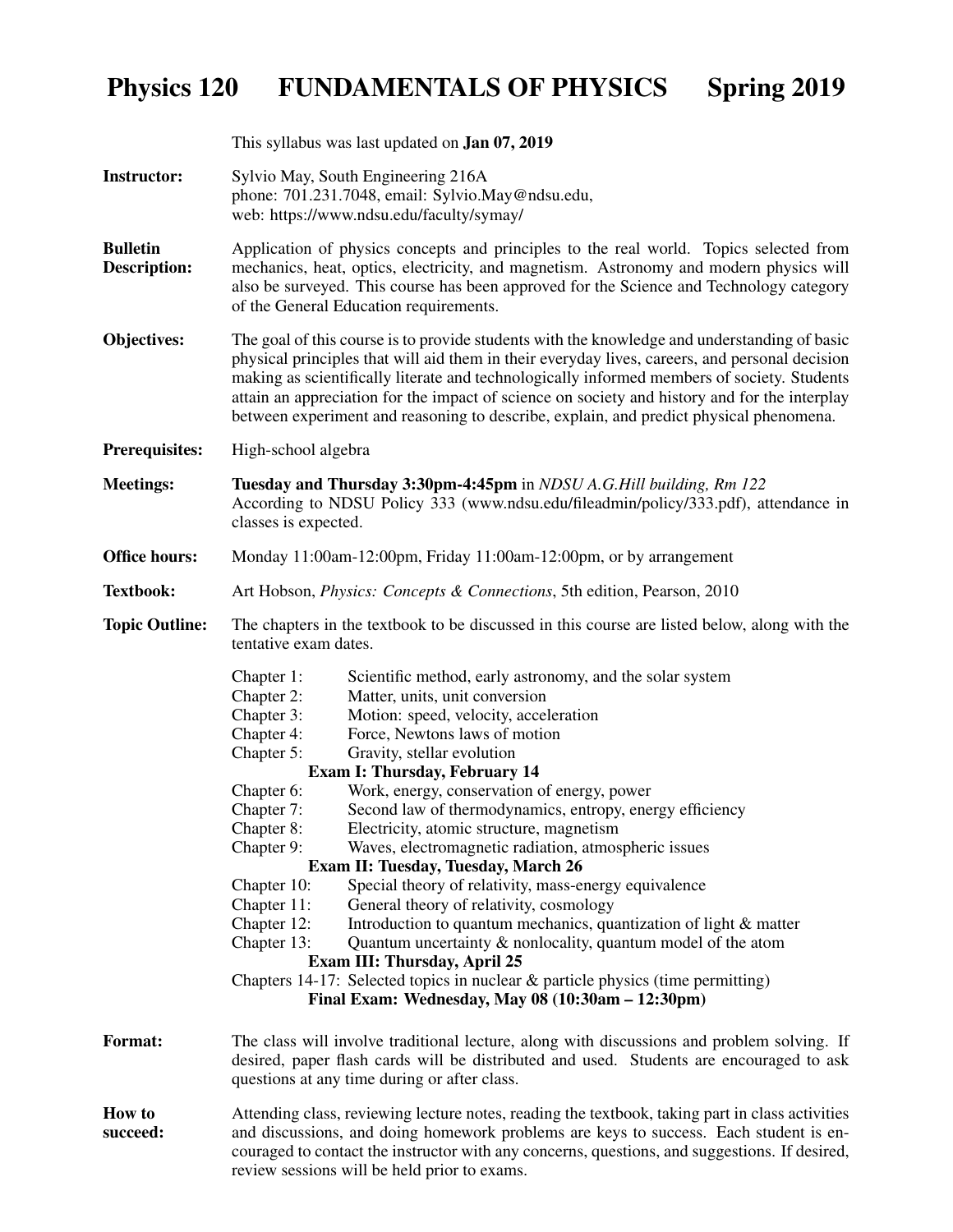## Physics 120 FUNDAMENTALS OF PHYSICS Spring 2019

|                                 | This syllabus was last updated on <b>Jan 07, 2019</b>                                                                                                                                                                                                                                                                                                                                                                                                                                                                                                                                                                                                                                                                                                                                                                                                                                                                                                                                                                                                                                                          |  |  |  |  |
|---------------------------------|----------------------------------------------------------------------------------------------------------------------------------------------------------------------------------------------------------------------------------------------------------------------------------------------------------------------------------------------------------------------------------------------------------------------------------------------------------------------------------------------------------------------------------------------------------------------------------------------------------------------------------------------------------------------------------------------------------------------------------------------------------------------------------------------------------------------------------------------------------------------------------------------------------------------------------------------------------------------------------------------------------------------------------------------------------------------------------------------------------------|--|--|--|--|
| <b>Instructor:</b>              | Sylvio May, South Engineering 216A<br>phone: 701.231.7048, email: Sylvio.May@ndsu.edu,<br>web: https://www.ndsu.edu/faculty/symay/                                                                                                                                                                                                                                                                                                                                                                                                                                                                                                                                                                                                                                                                                                                                                                                                                                                                                                                                                                             |  |  |  |  |
| <b>Bulletin</b><br>Description: | Application of physics concepts and principles to the real world. Topics selected from<br>mechanics, heat, optics, electricity, and magnetism. Astronomy and modern physics will<br>also be surveyed. This course has been approved for the Science and Technology category<br>of the General Education requirements.                                                                                                                                                                                                                                                                                                                                                                                                                                                                                                                                                                                                                                                                                                                                                                                          |  |  |  |  |
| Objectives:                     | The goal of this course is to provide students with the knowledge and understanding of basic<br>physical principles that will aid them in their everyday lives, careers, and personal decision<br>making as scientifically literate and technologically informed members of society. Students<br>attain an appreciation for the impact of science on society and history and for the interplay<br>between experiment and reasoning to describe, explain, and predict physical phenomena.                                                                                                                                                                                                                                                                                                                                                                                                                                                                                                                                                                                                                       |  |  |  |  |
| <b>Prerequisites:</b>           | High-school algebra                                                                                                                                                                                                                                                                                                                                                                                                                                                                                                                                                                                                                                                                                                                                                                                                                                                                                                                                                                                                                                                                                            |  |  |  |  |
| <b>Meetings:</b>                | Tuesday and Thursday 3:30pm-4:45pm in NDSU A.G. Hill building, Rm 122<br>According to NDSU Policy 333 (www.ndsu.edu/fileadmin/policy/333.pdf), attendance in<br>classes is expected.                                                                                                                                                                                                                                                                                                                                                                                                                                                                                                                                                                                                                                                                                                                                                                                                                                                                                                                           |  |  |  |  |
| <b>Office hours:</b>            | Monday 11:00am-12:00pm, Friday 11:00am-12:00pm, or by arrangement                                                                                                                                                                                                                                                                                                                                                                                                                                                                                                                                                                                                                                                                                                                                                                                                                                                                                                                                                                                                                                              |  |  |  |  |
| <b>Textbook:</b>                | Art Hobson, <i>Physics: Concepts &amp; Connections</i> , 5th edition, Pearson, 2010                                                                                                                                                                                                                                                                                                                                                                                                                                                                                                                                                                                                                                                                                                                                                                                                                                                                                                                                                                                                                            |  |  |  |  |
| <b>Topic Outline:</b>           | The chapters in the textbook to be discussed in this course are listed below, along with the<br>tentative exam dates.                                                                                                                                                                                                                                                                                                                                                                                                                                                                                                                                                                                                                                                                                                                                                                                                                                                                                                                                                                                          |  |  |  |  |
|                                 | Scientific method, early astronomy, and the solar system<br>Chapter 1:<br>Chapter 2:<br>Matter, units, unit conversion<br>Chapter 3:<br>Motion: speed, velocity, acceleration<br>Force, Newtons laws of motion<br>Chapter 4:<br>Gravity, stellar evolution<br>Chapter 5:<br><b>Exam I: Thursday, February 14</b><br>Work, energy, conservation of energy, power<br>Chapter 6:<br>Chapter 7:<br>Second law of thermodynamics, entropy, energy efficiency<br>Chapter 8:<br>Electricity, atomic structure, magnetism<br>Chapter 9:<br>Waves, electromagnetic radiation, atmospheric issues<br>Exam II: Tuesday, Tuesday, March 26<br>Special theory of relativity, mass-energy equivalence<br>Chapter 10:<br>General theory of relativity, cosmology<br>Chapter 11:<br>Chapter 12:<br>Introduction to quantum mechanics, quantization of light & matter<br>Quantum uncertainty & nonlocality, quantum model of the atom<br>Chapter 13:<br>Exam III: Thursday, April 25<br>Chapters 14-17: Selected topics in nuclear $\&$ particle physics (time permitting)<br>Final Exam: Wednesday, May 08 (10:30am - 12:30pm) |  |  |  |  |
| <b>Format:</b>                  | The class will involve traditional lecture, along with discussions and problem solving. If<br>desired, paper flash cards will be distributed and used. Students are encouraged to ask<br>questions at any time during or after class.                                                                                                                                                                                                                                                                                                                                                                                                                                                                                                                                                                                                                                                                                                                                                                                                                                                                          |  |  |  |  |
| <b>How to</b><br>succeed:       | Attending class, reviewing lecture notes, reading the textbook, taking part in class activities<br>and discussions, and doing homework problems are keys to success. Each student is en-<br>couraged to contact the instructor with any concerns, questions, and suggestions. If desired,<br>review sessions will be held prior to exams.                                                                                                                                                                                                                                                                                                                                                                                                                                                                                                                                                                                                                                                                                                                                                                      |  |  |  |  |